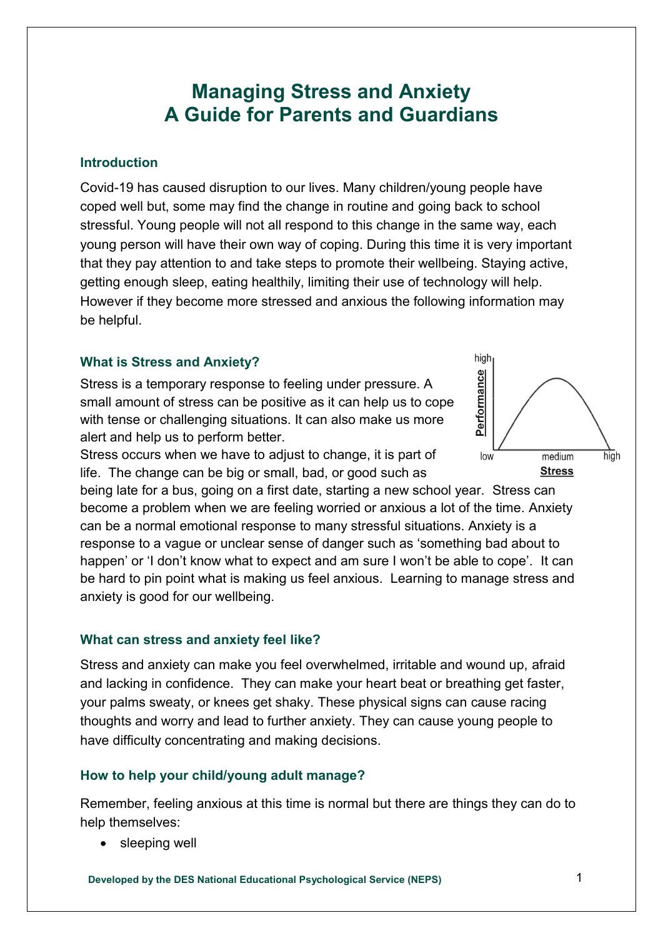# **Managing Stress and Anxiety A Guide for Parents and Guardians**

#### **Introduction**

Covid-19 has caused disruption to our lives. Many children/young people have coped well but, some may find the change in routine and going back to school stressful. Young people will not all respond to this change in the same way, each young person will have their own way of coping. During this time it is very important that they pay attention to and take steps to promote their wellbeing. Staying active, getting enough sleep, eating healthily, limiting their use of technology will help. However if they become more stressed and anxious the following information may be helpful.

#### **What is Stress and Anxiety?**

Stress is a temporary response to feeling under pressure. A small amount of stress can be positive as it can help us to cope with tense or challenging situations. It can also make us more alert and help us to perform better.

Stress occurs when we have to adjust to change, it is part of life. The change can be big or small, bad, or good such as

being late for a bus, going on a first date, starting a new school year. Stress can become a problem when we are feeling worried or anxious a lot of the time. Anxiety can be a normal emotional response to many stressful situations. Anxiety is a response to a vague or unclear sense of danger such as 'something bad about to happen' or 'I don't know what to expect and am sure I won't be able to cope'. It can be hard to pin point what is making us feel anxious. Learning to manage stress and anxiety is good for our wellbeing.

### **What can stress and anxiety feel like?**

Stress and anxiety can make you feel overwhelmed, irritable and wound up, afraid and lacking in confidence. They can make your heart beat or breathing get faster, your palms sweaty, or knees get shaky. These physical signs can cause racing thoughts and worry and lead to further anxiety. They can cause young people to have difficulty concentrating and making decisions.

### **How to help your child/young adult manage?**

Remember, feeling anxious at this time is normal but there are things they can do to help themselves:

sleeping well

**Developed by the DES National Educational Psychological Service (NEPS)** 1

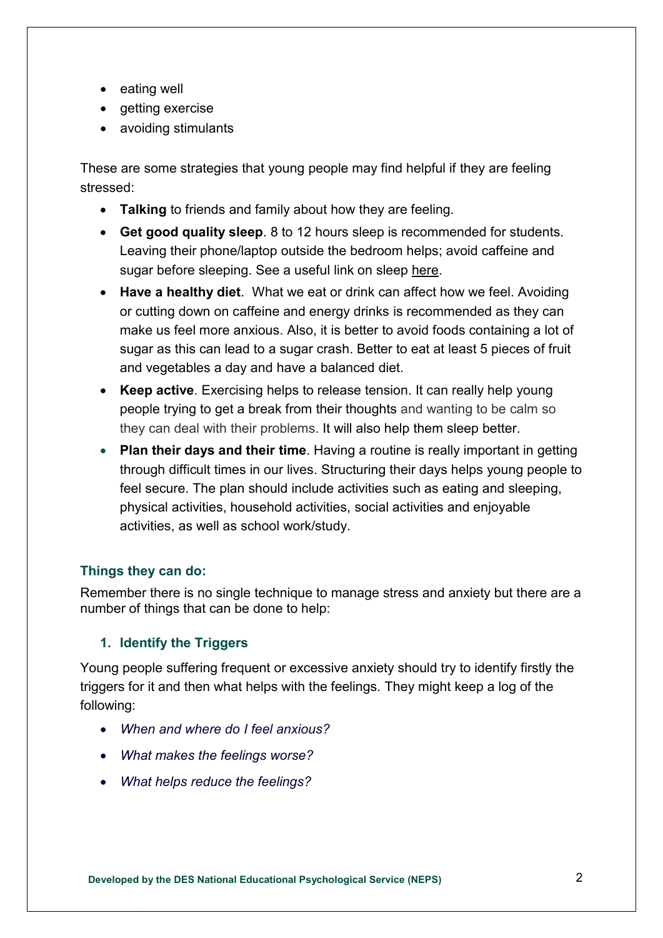- eating well
- $\bullet$  getting exercise
- avoiding stimulants

These are some strategies that young people may find helpful if they are feeling stressed:

- **Talking** to friends and family about how they are feeling.
- **Get good quality sleep**. 8 to 12 hours sleep is recommended for students. Leaving their phone/laptop outside the bedroom helps; avoid caffeine and sugar before sleeping. See a useful link on sleep [here.](https://www2.hse.ie/healthy-you/shake-off-the-sleep-monster.html)
- **Have a healthy diet**. What we eat or drink can affect how we feel. Avoiding or cutting down on caffeine and energy drinks is recommended as they can make us feel more anxious. Also, it is better to avoid foods containing a lot of sugar as this can lead to a sugar crash. Better to eat at least 5 pieces of fruit and vegetables a day and have a balanced diet.
- **Keep active**. Exercising helps to release tension. It can really help young people trying to get a break from their thoughts and wanting to be calm so they can deal with their problems. It will also help them sleep better.
- **Plan their days and their time**. Having a routine is really important in getting through difficult times in our lives. Structuring their days helps young people to feel secure. The plan should include activities such as eating and sleeping, physical activities, household activities, social activities and enjoyable activities, as well as school work/study.

### **Things they can do:**

Remember there is no single technique to manage stress and anxiety but there are a number of things that can be done to help:

### **1. Identify the Triggers**

Young people suffering frequent or excessive anxiety should try to identify firstly the triggers for it and then what helps with the feelings. They might keep a log of the following:

- *When and where do I feel anxious?*
- *What makes the feelings worse?*
- *What helps reduce the feelings?*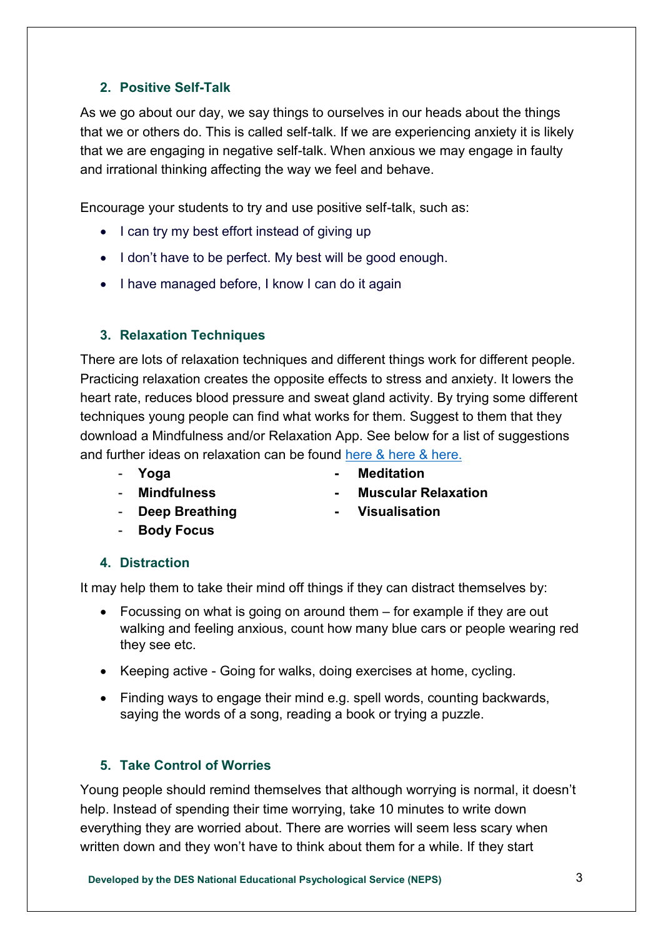## **2. Positive Self-Talk**

As we go about our day, we say things to ourselves in our heads about the things that we or others do. This is called self-talk. If we are experiencing anxiety it is likely that we are engaging in negative self-talk. When anxious we may engage in faulty and irrational thinking affecting the way we feel and behave.

Encourage your students to try and use positive self-talk, such as:

- I can try my best effort instead of giving up
- I don't have to be perfect. My best will be good enough.
- I have managed before, I know I can do it again

## **3. Relaxation Techniques**

There are lots of relaxation techniques and different things work for different people. Practicing relaxation creates the opposite effects to stress and anxiety. It lowers the heart rate, reduces blood pressure and sweat gland activity. By trying some different techniques young people can find what works for them. Suggest to them that they download a Mindfulness and/or Relaxation App. See below for a list of suggestions and further ideas on relaxation can be found [here](https://www.education.ie/en/Schools-Colleges/Services/National-Educational-Psychological-Service-NEPS-/covid-19.html) & [here](https://www2.hse.ie/wellbeing/mental-health/mindfulness.html) & [here.](https://www.pdst.ie/primary/healthwellbeing)

- 
- **Yoga - Meditation**
- **Mindfulness - Muscular Relaxation**
- **Deep Breathing - Visualisation**
	-

# - **Body Focus**

**4. Distraction** 

It may help them to take their mind off things if they can distract themselves by:

- Focussing on what is going on around them for example if they are out walking and feeling anxious, count how many blue cars or people wearing red they see etc.
- Keeping active Going for walks, doing exercises at home, cycling.
- Finding ways to engage their mind e.g. spell words, counting backwards, saying the words of a song, reading a book or trying a puzzle.

# **5. Take Control of Worries**

Young people should remind themselves that although worrying is normal, it doesn't help. Instead of spending their time worrying, take 10 minutes to write down everything they are worried about. There are worries will seem less scary when written down and they won't have to think about them for a while. If they start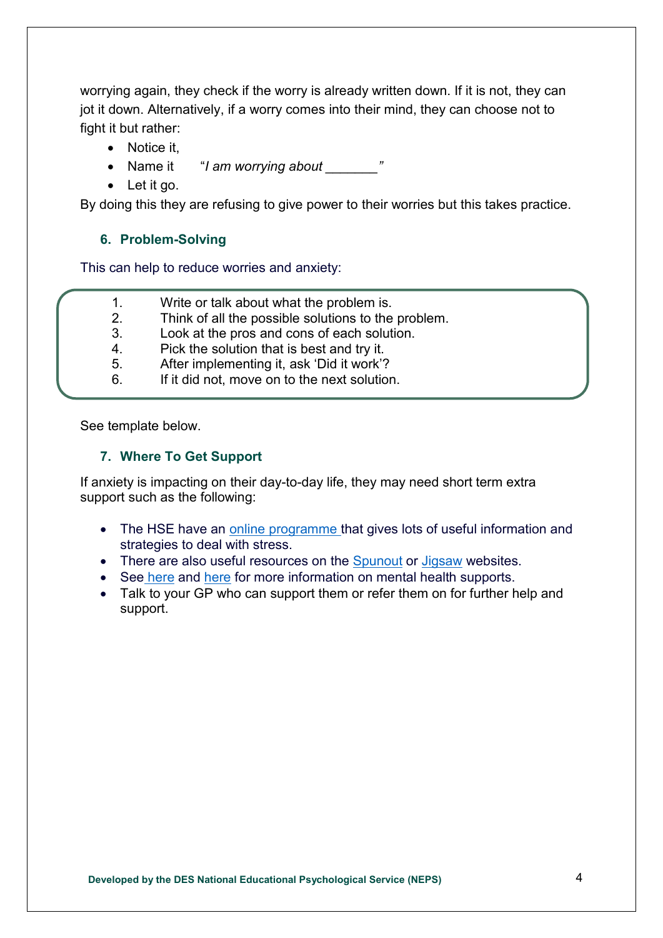worrying again, they check if the worry is already written down. If it is not, they can jot it down. Alternatively, if a worry comes into their mind, they can choose not to fight it but rather:

- Notice it.
- Name it "*I am worrying about*  $\blacksquare$
- Let it go.

By doing this they are refusing to give power to their worries but this takes practice.

#### **6. Problem-Solving**

This can help to reduce worries and anxiety:

- 1. Write or talk about what the problem is.
- 2. Think of all the possible solutions to the problem.
- 3. Look at the pros and cons of each solution.
- 4. Pick the solution that is best and try it.
- 5. After implementing it, ask 'Did it work'?
- 6. If it did not, move on to the next solution.

See template below.

#### **7. Where To Get Support**

If anxiety is impacting on their day-to-day life, they may need short term extra support such as the following:

- The HSE have an [online programme](https://stresscontrol.org/) that gives lots of useful information and strategies to deal with stress.
- There are also useful resources on [t](https://spunout.ie/)he Spunout or [Jigsaw](http://www.jigsaw.ie/) websites.
- See [here](https://www2.hse.ie/wellbeing/mental-health/supports-for-young-people.html) and [here](https://www2.hse.ie/mental-health/) for more information on mental health supports.
- Talk to your GP who can support them or refer them on for further help and support.